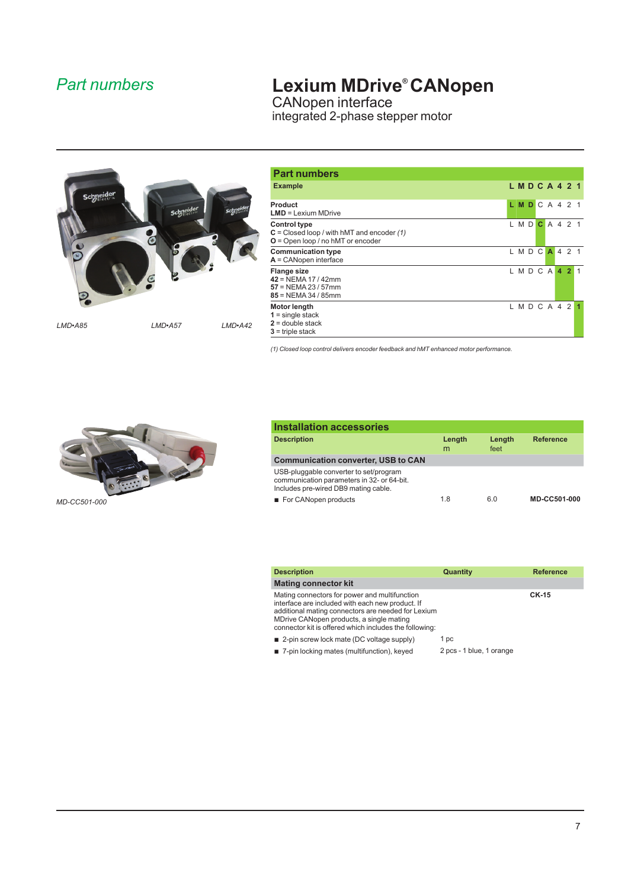### *Part numbers*

## **Lexium MDrive® CANopen**

CANopen interface integrated 2-phase stepper motor



| <b>Part numbers</b>                                                                                        |                              |
|------------------------------------------------------------------------------------------------------------|------------------------------|
| <b>Example</b>                                                                                             | L M D C A 4 2 1              |
| Product<br>$LMD = Lexium MDrive$                                                                           | LMDCA421                     |
| <b>Control type</b><br>$C = Closed loop / with hMT and encoder (1)$<br>$O =$ Open loop / no hMT or encoder | C A 4 2 1<br>MD <sup>1</sup> |
| <b>Communication type</b><br>$A =$ CANopen interface                                                       | LMDC<br>A 4 2 1              |
| <b>Flange size</b><br>$42$ = NEMA 17 / 42mm<br>$57 = NEMA 23 / 57$ mm<br>$85 = NEMA 34 / 85$ mm            | MDCA<br>4 <sub>2</sub>       |
| <b>Motor length</b><br>$1 =$ single stack<br>$2 =$ double stack<br>$3$ = triple stack                      | LMDCA42                      |

*(1) Closed loop control delivers encoder feedback and hMT enhanced motor performance.*



| <b>Installation accessories</b>                                                                                              |             |                |                  |
|------------------------------------------------------------------------------------------------------------------------------|-------------|----------------|------------------|
| <b>Description</b>                                                                                                           | Length<br>m | Length<br>feet | <b>Reference</b> |
| <b>Communication converter, USB to CAN</b>                                                                                   |             |                |                  |
| USB-pluggable converter to set/program<br>communication parameters in 32- or 64-bit.<br>Includes pre-wired DB9 mating cable. |             |                |                  |
| For CANopen products                                                                                                         | 1.8         | 6.0            | MD-CC501-000     |

| <b>Description</b>                                                                                                                                                                                                                                            | Quantity                 | <b>Reference</b> |
|---------------------------------------------------------------------------------------------------------------------------------------------------------------------------------------------------------------------------------------------------------------|--------------------------|------------------|
| Mating connector kit                                                                                                                                                                                                                                          |                          |                  |
| Mating connectors for power and multifunction<br>interface are included with each new product. If<br>additional mating connectors are needed for Lexium<br>MDrive CANopen products, a single mating<br>connector kit is offered which includes the following: |                          | <b>CK-15</b>     |
| ■ 2-pin screw lock mate (DC voltage supply)                                                                                                                                                                                                                   | 1 pc                     |                  |
| 7-pin locking mates (multifunction), keyed                                                                                                                                                                                                                    | 2 pcs - 1 blue, 1 orange |                  |